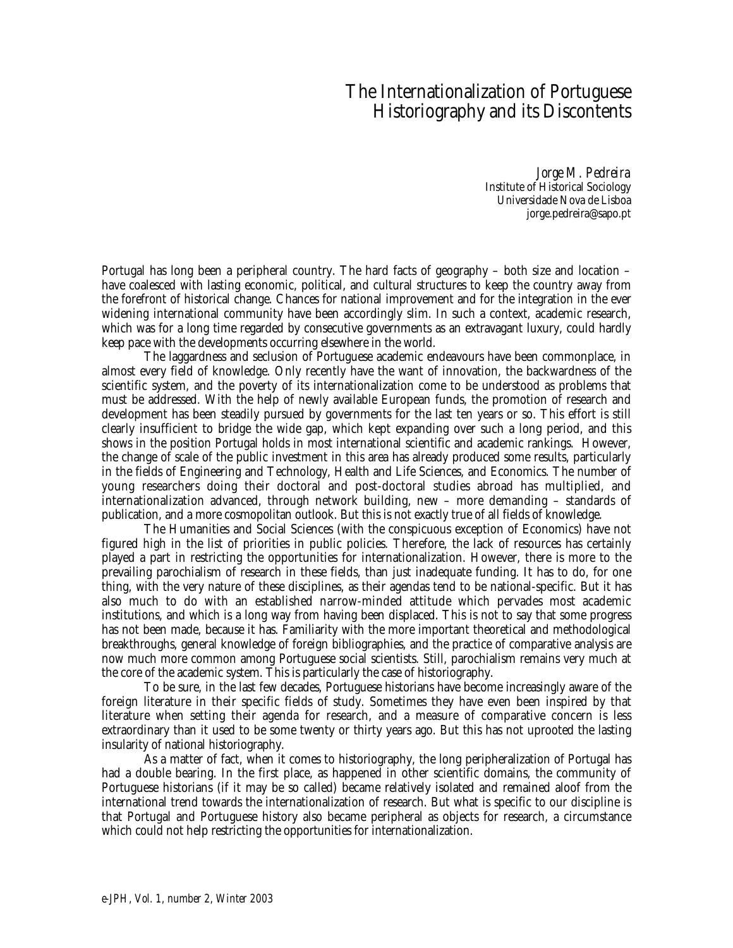## The Internationalization of Portuguese Historiography and its Discontents

*Jorge M. Pedreira* Institute of Historical Sociology Universidade Nova de Lisboa jorge.pedreira@sapo.pt

Portugal has long been a peripheral country. The hard facts of geography – both size and location – have coalesced with lasting economic, political, and cultural structures to keep the country away from the forefront of historical change. Chances for national improvement and for the integration in the ever widening international community have been accordingly slim. In such a context, academic research, which was for a long time regarded by consecutive governments as an extravagant luxury, could hardly keep pace with the developments occurring elsewhere in the world.

The laggardness and seclusion of Portuguese academic endeavours have been commonplace, in almost every field of knowledge. Only recently have the want of innovation, the backwardness of the scientific system, and the poverty of its internationalization come to be understood as problems that must be addressed. With the help of newly available European funds, the promotion of research and development has been steadily pursued by governments for the last ten years or so. This effort is still clearly insufficient to bridge the wide gap, which kept expanding over such a long period, and this shows in the position Portugal holds in most international scientific and academic rankings. However, the change of scale of the public investment in this area has already produced some results, particularly in the fields of Engineering and Technology, Health and Life Sciences, and Economics. The number of young researchers doing their doctoral and post-doctoral studies abroad has multiplied, and internationalization advanced, through network building, new – more demanding – standards of publication, and a more cosmopolitan outlook. But this is not exactly true of all fields of knowledge.

The Humanities and Social Sciences (with the conspicuous exception of Economics) have not figured high in the list of priorities in public policies. Therefore, the lack of resources has certainly played a part in restricting the opportunities for internationalization. However, there is more to the prevailing parochialism of research in these fields, than just inadequate funding. It has to do, for one thing, with the very nature of these disciplines, as their agendas tend to be national-specific. But it has also much to do with an established narrow-minded attitude which pervades most academic institutions, and which is a long way from having been displaced. This is not to say that some progress has not been made, because it has. Familiarity with the more important theoretical and methodological breakthroughs, general knowledge of foreign bibliographies, and the practice of comparative analysis are now much more common among Portuguese social scientists. Still, parochialism remains very much at the core of the academic system. This is particularly the case of historiography.

To be sure, in the last few decades, Portuguese historians have become increasingly aware of the foreign literature in their specific fields of study. Sometimes they have even been inspired by that literature when setting their agenda for research, and a measure of comparative concern is less extraordinary than it used to be some twenty or thirty years ago. But this has not uprooted the lasting insularity of national historiography.

As a matter of fact, when it comes to historiography, the long peripheralization of Portugal has had a double bearing. In the first place, as happened in other scientific domains, the community of Portuguese historians (if it may be so called) became relatively isolated and remained aloof from the international trend towards the internationalization of research. But what is specific to our discipline is that Portugal and Portuguese history also became peripheral as objects for research, a circumstance which could not help restricting the opportunities for internationalization.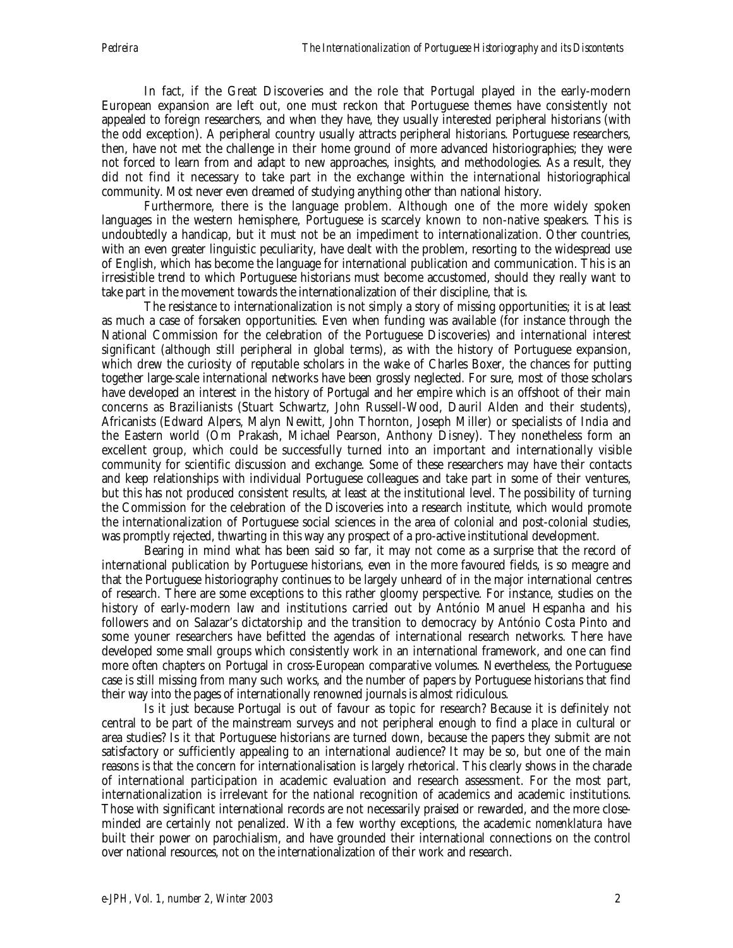In fact, if the Great Discoveries and the role that Portugal played in the early-modern European expansion are left out, one must reckon that Portuguese themes have consistently not appealed to foreign researchers, and when they have, they usually interested peripheral historians (with the odd exception). A peripheral country usually attracts peripheral historians. Portuguese researchers, then, have not met the challenge in their home ground of more advanced historiographies; they were not forced to learn from and adapt to new approaches, insights, and methodologies. As a result, they did not find it necessary to take part in the exchange within the international historiographical community. Most never even dreamed of studying anything other than national history.

Furthermore, there is the language problem. Although one of the more widely spoken languages in the western hemisphere, Portuguese is scarcely known to non-native speakers. This is undoubtedly a handicap, but it must not be an impediment to internationalization. Other countries, with an even greater linguistic peculiarity, have dealt with the problem, resorting to the widespread use of English, which has become the language for international publication and communication. This is an irresistible trend to which Portuguese historians must become accustomed, should they really want to take part in the movement towards the internationalization of their discipline, that is.

The resistance to internationalization is not simply a story of missing opportunities; it is at least as much a case of forsaken opportunities. Even when funding was available (for instance through the National Commission for the celebration of the Portuguese Discoveries) and international interest significant (although still peripheral in global terms), as with the history of Portuguese expansion, which drew the curiosity of reputable scholars in the wake of Charles Boxer, the chances for putting together large-scale international networks have been grossly neglected. For sure, most of those scholars have developed an interest in the history of Portugal and her empire which is an offshoot of their main concerns as Brazilianists (Stuart Schwartz, John Russell-Wood, Dauril Alden and their students), Africanists (Edward Alpers, Malyn Newitt, John Thornton, Joseph Miller) or specialists of India and the Eastern world (Om Prakash, Michael Pearson, Anthony Disney). They nonetheless form an excellent group, which could be successfully turned into an important and internationally visible community for scientific discussion and exchange. Some of these researchers may have their contacts and keep relationships with individual Portuguese colleagues and take part in some of their ventures, but this has not produced consistent results, at least at the institutional level. The possibility of turning the Commission for the celebration of the Discoveries into a research institute, which would promote the internationalization of Portuguese social sciences in the area of colonial and post-colonial studies, was promptly rejected, thwarting in this way any prospect of a pro-active institutional development.

Bearing in mind what has been said so far, it may not come as a surprise that the record of international publication by Portuguese historians, even in the more favoured fields, is so meagre and that the Portuguese historiography continues to be largely unheard of in the major international centres of research. There are some exceptions to this rather gloomy perspective. For instance, studies on the history of early-modern law and institutions carried out by António Manuel Hespanha and his followers and on Salazar's dictatorship and the transition to democracy by António Costa Pinto and some youner researchers have befitted the agendas of international research networks. There have developed some small groups which consistently work in an international framework, and one can find more often chapters on Portugal in cross-European comparative volumes. Nevertheless, the Portuguese case is still missing from many such works, and the number of papers by Portuguese historians that find their way into the pages of internationally renowned journals is almost ridiculous.

Is it just because Portugal is out of favour as topic for research? Because it is definitely not central to be part of the mainstream surveys and not peripheral enough to find a place in cultural or area studies? Is it that Portuguese historians are turned down, because the papers they submit are not satisfactory or sufficiently appealing to an international audience? It may be so, but one of the main reasons is that the concern for internationalisation is largely rhetorical. This clearly shows in the charade of international participation in academic evaluation and research assessment. For the most part, internationalization is irrelevant for the national recognition of academics and academic institutions. Those with significant international records are not necessarily praised or rewarded, and the more closeminded are certainly not penalized. With a few worthy exceptions, the academic *nomenklatura* have built their power on parochialism, and have grounded their international connections on the control over national resources, not on the internationalization of their work and research.